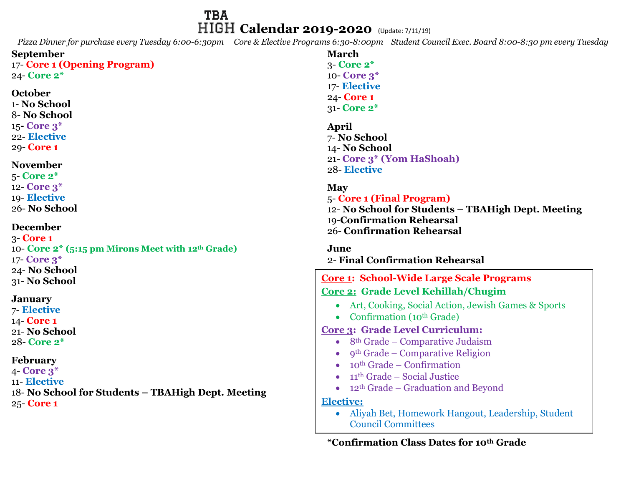## **TBA HIGH Calendar 2019-2020** (Update: 7/11/19)

*Pizza Dinner for purchase every Tuesday 6:00-6:30pm Core & Elective Programs 6:30-8:00pm Student Council Exec. Board 8:00-8:30 pm every Tuesday*

| <b>September</b><br>17- Core 1 (Opening Program)<br>24- Core 2*<br>October<br>1- No School<br>8- No School                                                                                              | <b>March</b><br>$3$ - Core $2^*$<br>10 Core 3*<br>17- Elective<br>24 <b>Core 1</b><br>31- Core 2*                                                                                                                                                                                                                                                                                                                                                                                                    |
|---------------------------------------------------------------------------------------------------------------------------------------------------------------------------------------------------------|------------------------------------------------------------------------------------------------------------------------------------------------------------------------------------------------------------------------------------------------------------------------------------------------------------------------------------------------------------------------------------------------------------------------------------------------------------------------------------------------------|
| $15$ -Core $3*$<br>22- Elective<br>29 Core 1<br><b>November</b><br>$5$ -Core $2^*$                                                                                                                      | April<br>7- No School<br>14- No School<br>21- Core 3* (Yom HaShoah)<br>28-Elective                                                                                                                                                                                                                                                                                                                                                                                                                   |
| 12- Core 3 <sup>*</sup><br>19-Elective<br>26-No School                                                                                                                                                  | <b>May</b><br>5- Core 1 (Final Program)<br>12- No School for Students - TBAHigh Dept. Meeting<br>19-Confirmation Rehearsal                                                                                                                                                                                                                                                                                                                                                                           |
| <b>December</b><br>$3$ -Core 1<br>10- Core 2* (5:15 pm Mirons Meet with 12th Grade)<br>17- Core 3*<br>24- No School<br>31- No School                                                                    | 26- Confirmation Rehearsal<br>June<br>2- Final Confirmation Rehearsal<br><b>Core 1: School-Wide Large Scale Programs</b>                                                                                                                                                                                                                                                                                                                                                                             |
| <b>January</b><br>7- Elective<br>14 Core 1<br>21- No School<br>28- Core 2*<br><b>February</b><br>$4$ - Core $3^*$<br>11- Elective<br>18- No School for Students - TBAHigh Dept. Meeting<br>$25$ -Core 1 | Core 2: Grade Level Kehillah/Chugim<br>Art, Cooking, Social Action, Jewish Games & Sports<br>Confirmation (10 <sup>th</sup> Grade)<br><b>Core 3: Grade Level Curriculum:</b><br>8 <sup>th</sup> Grade – Comparative Judaism<br>$\bullet$<br>9th Grade – Comparative Religion<br>$10th$ Grade – Confirmation<br>$11th$ Grade – Social Justice<br>12 <sup>th</sup> Grade – Graduation and Beyond<br><b>Elective:</b><br>Aliyah Bet, Homework Hangout, Leadership, Student<br><b>Council Committees</b> |

**\*Confirmation Class Dates for 10th Grade**